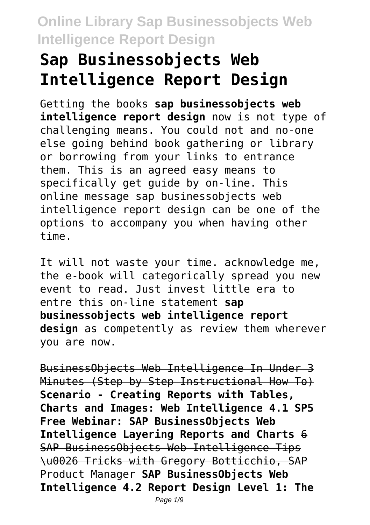# **Sap Businessobjects Web Intelligence Report Design**

Getting the books **sap businessobjects web intelligence report design** now is not type of challenging means. You could not and no-one else going behind book gathering or library or borrowing from your links to entrance them. This is an agreed easy means to specifically get guide by on-line. This online message sap businessobjects web intelligence report design can be one of the options to accompany you when having other time.

It will not waste your time. acknowledge me, the e-book will categorically spread you new event to read. Just invest little era to entre this on-line statement **sap businessobjects web intelligence report design** as competently as review them wherever you are now.

BusinessObjects Web Intelligence In Under 3 Minutes (Step by Step Instructional How To) **Scenario - Creating Reports with Tables, Charts and Images: Web Intelligence 4.1 SP5 Free Webinar: SAP BusinessObjects Web Intelligence Layering Reports and Charts** 6 SAP BusinessObjects Web Intelligence Tips \u0026 Tricks with Gregory Botticchio, SAP Product Manager **SAP BusinessObjects Web Intelligence 4.2 Report Design Level 1: The**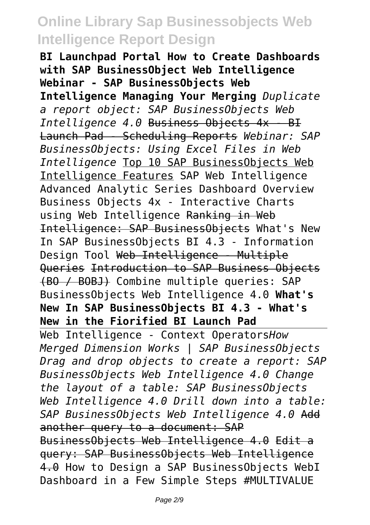**BI Launchpad Portal How to Create Dashboards with SAP BusinessObject Web Intelligence Webinar - SAP BusinessObjects Web Intelligence Managing Your Merging** *Duplicate a report object: SAP BusinessObjects Web Intelligence 4.0* Business Objects 4x - BI Launch Pad - Scheduling Reports *Webinar: SAP BusinessObjects: Using Excel Files in Web Intelligence* Top 10 SAP BusinessObjects Web Intelligence Features SAP Web Intelligence Advanced Analytic Series Dashboard Overview Business Objects 4x - Interactive Charts using Web Intelligence Ranking in Web Intelligence: SAP BusinessObjects What's New In SAP BusinessObjects BI 4.3 - Information Design Tool Web Intelligence - Multiple Queries Introduction to SAP Business Objects (BO / BOBJ) Combine multiple queries: SAP BusinessObjects Web Intelligence 4.0 **What's New In SAP BusinessObjects BI 4.3 - What's New in the Fiorified BI Launch Pad**

Web Intelligence - Context Operators*How Merged Dimension Works | SAP BusinessObjects Drag and drop objects to create a report: SAP BusinessObjects Web Intelligence 4.0 Change the layout of a table: SAP BusinessObjects Web Intelligence 4.0 Drill down into a table: SAP BusinessObjects Web Intelligence 4.0* Add another query to a document: SAP BusinessObjects Web Intelligence 4.0 Edit a query: SAP BusinessObjects Web Intelligence 4.0 How to Design a SAP BusinessObjects WebI Dashboard in a Few Simple Steps #MULTIVALUE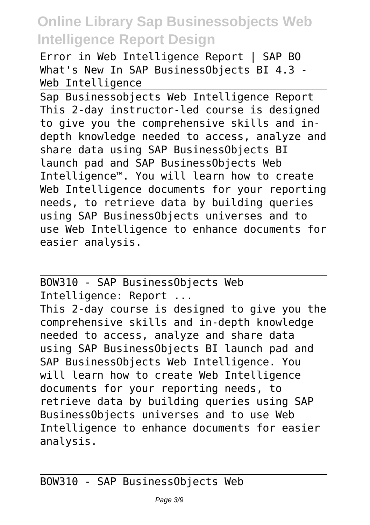Error in Web Intelligence Report | SAP BO What's New In SAP BusinessObjects BI 4.3 - Web Intelligence

Sap Businessobjects Web Intelligence Report This 2-day instructor-led course is designed to give you the comprehensive skills and indepth knowledge needed to access, analyze and share data using SAP BusinessObjects BI launch pad and SAP BusinessObjects Web Intelligence™. You will learn how to create Web Intelligence documents for your reporting needs, to retrieve data by building queries using SAP BusinessObjects universes and to use Web Intelligence to enhance documents for easier analysis.

BOW310 - SAP BusinessObjects Web Intelligence: Report ... This 2-day course is designed to give you the comprehensive skills and in-depth knowledge needed to access, analyze and share data using SAP BusinessObjects BI launch pad and SAP BusinessObjects Web Intelligence. You will learn how to create Web Intelligence documents for your reporting needs, to retrieve data by building queries using SAP BusinessObjects universes and to use Web Intelligence to enhance documents for easier analysis.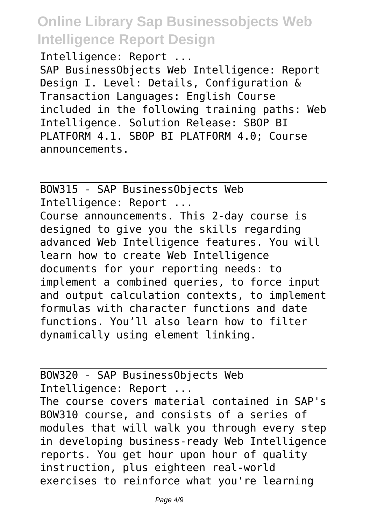Intelligence: Report ... SAP BusinessObjects Web Intelligence: Report Design I. Level: Details, Configuration & Transaction Languages: English Course included in the following training paths: Web Intelligence. Solution Release: SBOP BI PLATFORM 4.1. SBOP BI PLATFORM 4.0; Course announcements.

BOW315 - SAP BusinessObjects Web Intelligence: Report ... Course announcements. This 2-day course is designed to give you the skills regarding advanced Web Intelligence features. You will learn how to create Web Intelligence documents for your reporting needs: to implement a combined queries, to force input and output calculation contexts, to implement formulas with character functions and date functions. You'll also learn how to filter dynamically using element linking.

BOW320 - SAP BusinessObjects Web Intelligence: Report ... The course covers material contained in SAP's BOW310 course, and consists of a series of modules that will walk you through every step in developing business-ready Web Intelligence reports. You get hour upon hour of quality instruction, plus eighteen real-world exercises to reinforce what you're learning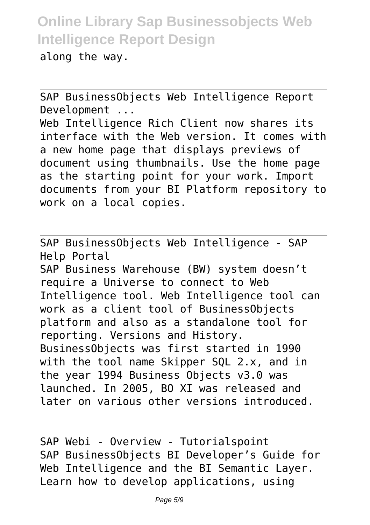along the way.

SAP BusinessObjects Web Intelligence Report Development ... Web Intelligence Rich Client now shares its interface with the Web version. It comes with a new home page that displays previews of document using thumbnails. Use the home page as the starting point for your work. Import documents from your BI Platform repository to work on a local copies.

SAP BusinessObjects Web Intelligence - SAP Help Portal

SAP Business Warehouse (BW) system doesn't require a Universe to connect to Web Intelligence tool. Web Intelligence tool can work as a client tool of BusinessObjects platform and also as a standalone tool for reporting. Versions and History. BusinessObjects was first started in 1990 with the tool name Skipper SQL 2.x, and in the year 1994 Business Objects v3.0 was launched. In 2005, BO XI was released and later on various other versions introduced.

SAP Webi - Overview - Tutorialspoint SAP BusinessObjects BI Developer's Guide for Web Intelligence and the BI Semantic Layer. Learn how to develop applications, using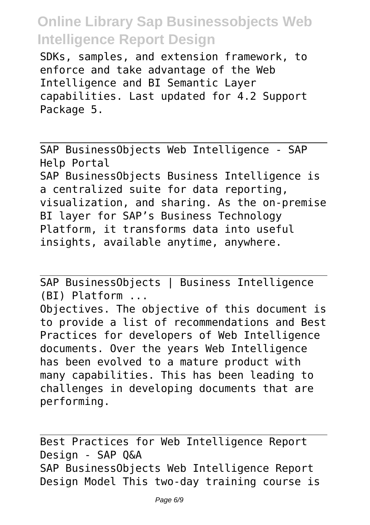SDKs, samples, and extension framework, to enforce and take advantage of the Web Intelligence and BI Semantic Layer capabilities. Last updated for 4.2 Support Package 5.

SAP BusinessObjects Web Intelligence - SAP Help Portal SAP BusinessObjects Business Intelligence is a centralized suite for data reporting, visualization, and sharing. As the on-premise BI layer for SAP's Business Technology Platform, it transforms data into useful insights, available anytime, anywhere.

SAP BusinessObjects | Business Intelligence (BI) Platform ... Objectives. The objective of this document is to provide a list of recommendations and Best Practices for developers of Web Intelligence documents. Over the years Web Intelligence has been evolved to a mature product with many capabilities. This has been leading to challenges in developing documents that are performing.

Best Practices for Web Intelligence Report Design - SAP Q&A SAP BusinessObjects Web Intelligence Report Design Model This two-day training course is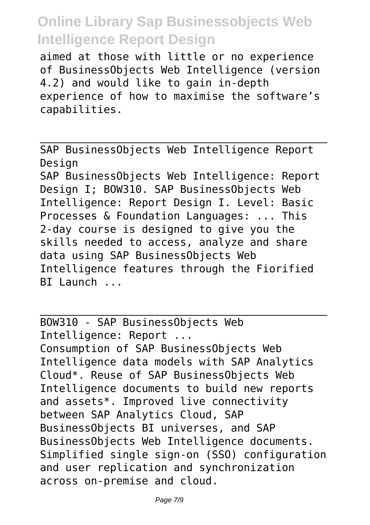aimed at those with little or no experience of BusinessObjects Web Intelligence (version 4.2) and would like to gain in-depth experience of how to maximise the software's capabilities.

SAP BusinessObjects Web Intelligence Report Design

SAP BusinessObjects Web Intelligence: Report Design I; BOW310. SAP BusinessObjects Web Intelligence: Report Design I. Level: Basic Processes & Foundation Languages: ... This 2-day course is designed to give you the skills needed to access, analyze and share data using SAP BusinessObjects Web Intelligence features through the Fiorified BI Launch ...

BOW310 - SAP BusinessObjects Web Intelligence: Report ... Consumption of SAP BusinessObjects Web Intelligence data models with SAP Analytics Cloud\*. Reuse of SAP BusinessObjects Web Intelligence documents to build new reports and assets\*. Improved live connectivity between SAP Analytics Cloud, SAP BusinessObjects BI universes, and SAP BusinessObjects Web Intelligence documents. Simplified single sign-on (SSO) configuration and user replication and synchronization across on-premise and cloud.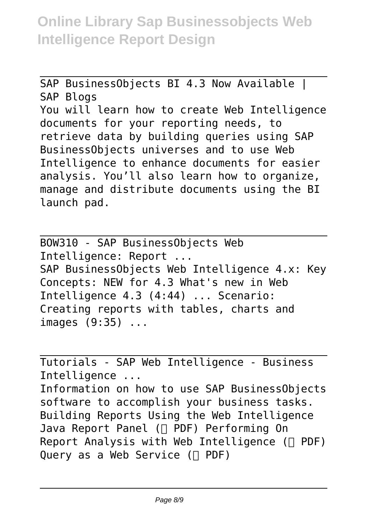SAP BusinessObjects BI 4.3 Now Available | SAP Blogs You will learn how to create Web Intelligence documents for your reporting needs, to retrieve data by building queries using SAP BusinessObjects universes and to use Web Intelligence to enhance documents for easier analysis. You'll also learn how to organize, manage and distribute documents using the BI launch pad.

BOW310 - SAP BusinessObjects Web Intelligence: Report ... SAP BusinessObjects Web Intelligence 4.x: Key Concepts: NEW for 4.3 What's new in Web Intelligence 4.3 (4:44) ... Scenario: Creating reports with tables, charts and images (9:35) ...

Tutorials - SAP Web Intelligence - Business Intelligence ... Information on how to use SAP BusinessObjects software to accomplish your business tasks. Building Reports Using the Web Intelligence Java Report Panel  $(\Box$  PDF) Performing On Report Analysis with Web Intelligence  $(\Box$  PDF) Query as a Web Service  $(\Box$  PDF)